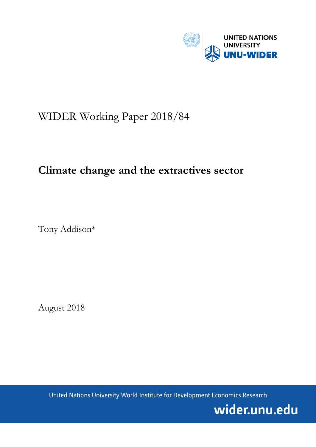

# WIDER Working Paper 2018/84

# **Climate change and the extractives sector**

Tony Addison\*

August 2018

United Nations University World Institute for Development Economics Research

wider.unu.edu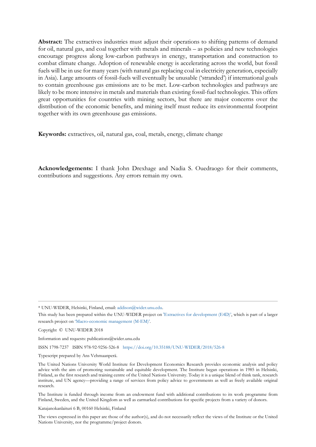**Abstract:** The extractives industries must adjust their operations to shifting patterns of demand for oil, natural gas, and coal together with metals and minerals – as policies and new technologies encourage progress along low-carbon pathways in energy, transportation and construction to combat climate change. Adoption of renewable energy is accelerating across the world, but fossil fuels will be in use for many years (with natural gas replacing coal in electricity generation, especially in Asia). Large amounts of fossil-fuels will eventually be unusable ('stranded') if international goals to contain greenhouse gas emissions are to be met. Low-carbon technologies and pathways are likely to be more intensive in metals and materials than existing fossil-fuel technologies. This offers great opportunities for countries with mining sectors, but there are major concerns over the distribution of the economic benefits, and mining itself must reduce its environmental footprint together with its own greenhouse gas emissions.

**Keywords:** extractives, oil, natural gas, coal, metals, energy, climate change

**Acknowledgements:** I thank John Drexhage and Nadia S. Ouedraogo for their comments, contributions and suggestions. Any errors remain my own.

\* UNU-WIDER, Helsinki, Finland, email: [addison@wider.unu.edu.](mailto:addison@wider.unu.edu)

Copyright © UNU-WIDER 2018

Information and requests: publications@wider.unu.edu

ISSN 1798-7237 ISBN 978-92-9256-526-8 <https://doi.org/10.35188/UNU-WIDER/2018/526-8>

Typescript prepared by Ans Vehmaanperä.

The United Nations University World Institute for Development Economics Research provides economic analysis and policy advice with the aim of promoting sustainable and equitable development. The Institute began operations in 1985 in Helsinki, Finland, as the first research and training centre of the United Nations University. Today it is a unique blend of think tank, research institute, and UN agency—providing a range of services from policy advice to governments as well as freely available original research.

The Institute is funded through income from an endowment fund with additional contributions to its work programme from Finland, Sweden, and the United Kingdom as well as earmarked contributions for specific projects from a variety of donors.

Katajanokanlaituri 6 B, 00160 Helsinki, Finland

The views expressed in this paper are those of the author(s), and do not necessarily reflect the views of the Institute or the United Nations University, nor the programme/project donors.

This study has been prepared within the UNU-WIDER project on ['Extractives for development \(E4D\)',](https://www.wider.unu.edu/node/474) which is part of a larger research project on ['Macro-economic management \(M-EM\)'.](https://www.wider.unu.edu/node/377)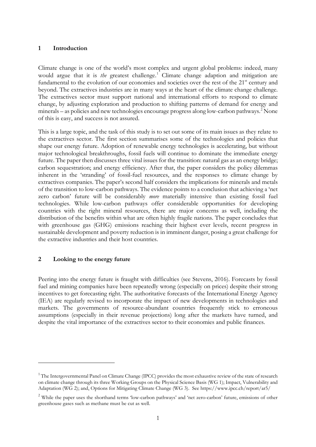#### **1 Introduction**

Climate change is one of the world's most complex and urgent global problems: indeed, many would argue that it is *the* greatest challenge.<sup>[1](#page-2-0)</sup> Climate change adaption and mitigation are fundamental to the evolution of our economies and societies over the rest of the 21<sup>st</sup> century and beyond. The extractives industries are in many ways at the heart of the climate change challenge. The extractives sector must support national and international efforts to respond to climate change, by adjusting exploration and production to shifting patterns of demand for energy and minerals – as policies and new technologies encourage progress along low-carbon pathways.<sup>[2](#page-2-1)</sup> None of this is easy, and success is not assured.

This is a large topic, and the task of this study is to set out some of its main issues as they relate to the extractives sector. The first section summarises some of the technologies and policies that shape our energy future. Adoption of renewable energy technologies is accelerating, but without major technological breakthroughs, fossil fuels will continue to dominate the immediate energy future. The paper then discusses three vital issues for the transition: natural gas as an energy bridge; carbon sequestration; and energy efficiency. After that, the paper considers the policy dilemmas inherent in the 'stranding' of fossil-fuel resources, and the responses to climate change by extractives companies. The paper's second half considers the implications for minerals and metals of the transition to low-carbon pathways. The evidence points to a conclusion that achieving a 'net zero carbon' future will be considerably *more* materially intensive than existing fossil fuel technologies. While low-carbon pathways offer considerable opportunities for developing countries with the right mineral resources, there are major concerns as well, including the distribution of the benefits within what are often highly fragile nations. The paper concludes that with greenhouse gas (GHG) emissions reaching their highest ever levels, recent progress in sustainable development and poverty reduction is in imminent danger, posing a great challenge for the extractive industries and their host countries.

#### **2 Looking to the energy future**

<u>.</u>

Peering into the energy future is fraught with difficulties (see Stevens, 2016). Forecasts by fossil fuel and mining companies have been repeatedly wrong (especially on prices) despite their strong incentives to get forecasting right. The authoritative forecasts of the International Energy Agency (IEA) are regularly revised to incorporate the impact of new developments in technologies and markets. The governments of resource-abundant countries frequently stick to erroneous assumptions (especially in their revenue projections) long after the markets have turned, and despite the vital importance of the extractives sector to their economies and public finances.

<span id="page-2-0"></span><sup>&</sup>lt;sup>1</sup> The Intergovernmental Panel on Climate Change (IPCC) provides the most exhaustive review of the state of research on climate change through its three Working Groups on the Physical Science Basis (WG 1); Impact, Vulnerability and Adaptation (WG 2); and, Options for Mitigating Climate Change (WG 3). See https://www.ipcc.ch/report/ar5/

<span id="page-2-1"></span><sup>&</sup>lt;sup>2</sup> While the paper uses the shorthand terms 'low-carbon pathways' and 'net zero-carbon' future, emissions of other greenhouse gases such as methane must be cut as well.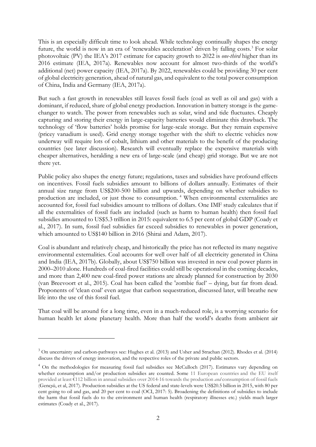This is an especially difficult time to look ahead. While technology continually shapes the energy future, the world is now in an era of 'renewables acceleration' driven by falling costs.<sup>[3](#page-3-0)</sup> For solar photovoltaic (PV) the IEA's 2017 estimate for capacity growth to 2022 is *one-third* higher than its 2016 estimate (IEA, 2017a). Renewables now account for almost two-thirds of the world's additional (net) power capacity (IEA, 2017a). By 2022, renewables could be providing 30 per cent of global electricity generation, ahead of natural gas, and equivalent to the total power consumption of China, India and Germany (IEA, 2017a).

But such a fast growth in renewables still leaves fossil fuels (coal as well as oil and gas) with a dominant, if reduced, share of global energy production. Innovation in battery storage is the gamechanger to watch. The power from renewables such as solar, wind and tide fluctuates. Cheaply capturing and storing their energy in large-capacity batteries would eliminate this drawback. The technology of 'flow batteries' holds promise for large-scale storage. But they remain expensive (pricey vanadium is used). Grid energy storage together with the shift to electric vehicles now underway will require lots of cobalt, lithium and other materials to the benefit of the producing countries (see later discussion). Research will eventually replace the expensive materials with cheaper alternatives, heralding a new era of large-scale (and cheap) grid storage. But we are not there yet.

Public policy also shapes the energy future; regulations, taxes and subsidies have profound effects on incentives. Fossil fuels subsidies amount to billions of dollars annually. Estimates of their annual size range from US\$200-500 billion and upwards, depending on whether subsidies to production are included, or just those to consumption. [4](#page-3-1) When environmental externalities are accounted for, fossil fuel subsidies amount to trillions of dollars. One IMF study calculates that if all the externalities of fossil fuels are included (such as harm to human health) then fossil fuel subsidies amounted to US\$5.3 trillion in 2015: equivalent to 6.5 per cent of global GDP (Coady et al., 2017). In sum, fossil fuel subsidies far exceed subsidies to renewables in power generation, which amounted to US\$140 billion in 2016 (Shirai and Adam, 2017).

Coal is abundant and relatively cheap, and historically the price has not reflected its many negative environmental externalities. Coal accounts for well over half of all electricity generated in China and India (IEA, 2017b). Globally, about US\$750 billion was invested in new coal power plants in 2000–2010 alone. Hundreds of coal-fired facilities could still be operational in the coming decades, and more than 2,400 new coal-fired power stations are already planned for construction by 2030 (van Breevoort et al., 2015). Coal has been called the 'zombie fuel' – dying, but far from dead. Proponents of 'clean coal' even argue that carbon sequestration, discussed later, will breathe new life into the use of this fossil fuel.

That coal will be around for a long time, even in a much-reduced role, is a worrying scenario for human health let alone planetary health. More than half the world's deaths from ambient air

<u>.</u>

<span id="page-3-0"></span><sup>3</sup> On uncertainty and carbon-pathways see: Hughes et al. (2013) and Usher and Strachan (2012). Rhodes et al. (2014) discuss the drivers of energy innovation, and the respective roles of the private and public sectors.

<span id="page-3-1"></span><sup>&</sup>lt;sup>4</sup> On the methodologies for measuring fossil fuel subsidies see McCulloch (2017). Estimates vary depending on whether consumption and/or production subsidies are counted. Some 11 European countries and the EU itself provided at least €112 billion in annual subsidies over 2014-16 towards the production *and* consumption of fossil fuels (Gençsü, et al, 2017). Production subsidies at the US federal and state-levels were US\$20.5 billion in 2015, with 80 per cent going to oil and gas, and 20 per cent to coal (OCI, 2017: 5). Broadening the definitions of subsidies to include the harm that fossil fuels do to the environment and human health (respiratory illnesses etc.) yields much larger estimates (Coady et al., 2017).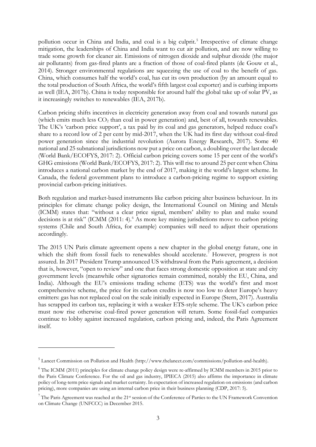pollution occur in China and India, and coal is a big culprit.<sup>[5](#page-4-0)</sup> Irrespective of climate change mitigation, the leaderships of China and India want to cut air pollution, and are now willing to trade some growth for cleaner air. Emissions of nitrogen dioxide and sulphur dioxide (the major air pollutants) from gas-fired plants are a fraction of those of coal-fired plants (de Gouw et al., 2014). Stronger environmental regulations are squeezing the use of coal to the benefit of gas. China, which consumes half the world's coal, has cut its own production (by an amount equal to the total production of South Africa, the world's fifth largest coal exporter) and is curbing imports as well (IEA, 2017b). China is today responsible for around half the global take up of solar PV, as it increasingly switches to renewables (IEA, 2017b).

Carbon pricing shifts incentives in electricity generation away from coal and towards natural gas (which emits much less  $CO<sub>2</sub>$  than coal in power generation) and, best of all, towards renewables. The UK's 'carbon price support', a tax paid by its coal and gas generators, helped reduce coal's share to a record low of 2 per cent by mid-2017, when the UK had its first day without coal-fired power generation since the industrial revolution (Aurora Energy Research, 2017). Some 40 national and 25 subnational jurisdictions now put a price on carbon, a doubling over the last decade (World Bank/ECOFYS, 2017: 2). Official carbon pricing covers some 15 per cent of the world's GHG emissions (World Bank/ECOFYS, 2017: 2). This will rise to around 25 per cent when China introduces a national carbon market by the end of 2017, making it the world's largest scheme. In Canada, the federal government plans to introduce a carbon-pricing regime to support existing provincial carbon-pricing initiatives.

Both regulation and market-based instruments like carbon pricing alter business behaviour. In its principles for climate change policy design, the International Council on Mining and Metals (ICMM) states that: "without a clear price signal, members' ability to plan and make sound decisions is at risk" (ICMM (2011: 4).<sup>[6](#page-4-1)</sup> As more key mining jurisdictions move to carbon pricing systems (Chile and South Africa, for example) companies will need to adjust their operations accordingly.

The 2015 UN Paris climate agreement opens a new chapter in the global energy future, one in which the shift from fossil fuels to renewables should accelerate.<sup>7</sup> However, progress is not assured. In 2017 President Trump announced US withdrawal from the Paris agreement, a decision that is, however, "open to review" and one that faces strong domestic opposition at state and city government levels (meanwhile other signatories remain committed, notably the EU, China, and India). Although the EU's emissions trading scheme (ETS) was the world's first and most comprehensive scheme, the price for its carbon credits is now too low to deter Europe's heavy emitters: gas has not replaced coal on the scale initially expected in Europe (Stern, 2017). Australia has scrapped its carbon tax, replacing it with a weaker ETS-style scheme. The UK's carbon price must now rise otherwise coal-fired power generation will return. Some fossil-fuel companies continue to lobby against increased regulation, carbon pricing and, indeed, the Paris Agreement itself.

<span id="page-4-0"></span><sup>5</sup> Lancet Commission on Pollution and Health (http://www.thelancet.com/commissions/pollution-and-health).

<span id="page-4-1"></span><sup>&</sup>lt;sup>6</sup> The ICMM (2011) principles for climate change policy design were re-affirmed by ICMM members in 2015 prior to the Paris Climate Conference. For the oil and gas industry, IPIECA (2015) also affirms the importance in climate policy of long-term price signals and market certainty. In expectation of increased regulation on emissions (and carbon pricing), more companies are using an internal carbon price in their business planning (CDP, 2017: 5).

<span id="page-4-2"></span> $7$  The Paris Agreement was reached at the 21<sup>st</sup> session of the Conference of Parties to the UN Framework Convention on Climate Change (UNFCCC) in December 2015.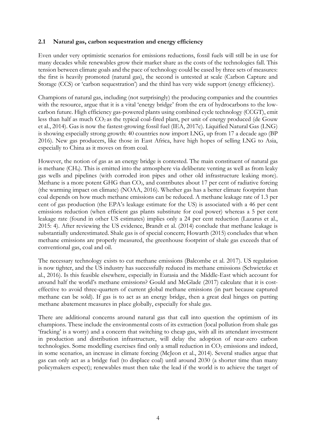#### **2.1 Natural gas, carbon sequestration and energy efficiency**

Even under very optimistic scenarios for emissions reductions, fossil fuels will still be in use for many decades while renewables grow their market share as the costs of the technologies fall. This tension between climate goals and the pace of technology could be eased by three sets of measures: the first is heavily promoted (natural gas), the second is untested at scale (Carbon Capture and Storage (CCS) or 'carbon sequestration') and the third has very wide support (energy efficiency).

Champions of natural gas, including (not surprisingly) the producing companies and the countries with the resource, argue that it is a vital 'energy bridge' from the era of hydrocarbons to the lowcarbon future. High efficiency gas-powered plants using combined cycle technology (CCGT), emit less than half as much  $CO_2$  as the typical coal-fired plant, per unit of energy produced (de Gouw et al., 2014). Gas is now the fastest-growing fossil fuel (IEA, 2017c). Liquified Natural Gas (LNG) is showing especially strong growth: 40 countries now import LNG, up from 17 a decade ago (BP 2016). New gas producers, like those in East Africa, have high hopes of selling LNG to Asia, especially to China as it moves on from coal.

However, the notion of gas as an energy bridge is contested. The main constituent of natural gas is methane (CH4). This is emitted into the atmosphere via deliberate venting as well as from leaky gas wells and pipelines (with corroded iron pipes and other old infrastructure leaking more). Methane is a more potent GHG than  $CO<sub>2</sub>$ , and contributes about 17 per cent of radiative forcing (the warming impact on climate) (NOAA, 2016). Whether gas has a better climate footprint than coal depends on how much methane emissions can be reduced. A methane leakage rate of 1.3 per cent of gas production (the EPA's leakage estimate for the US) is associated with a 46 per cent emissions reduction (when efficient gas plants substitute for coal power) whereas a 5 per cent leakage rate (found in other US estimates) implies only a 24 per cent reduction (Lazarus et al., 2015: 4). After reviewing the US evidence, Brandt et al. (2014) conclude that methane leakage is substantially underestimated. Shale gas is of special concern; Howarth (2015) concludes that when methane emissions are properly measured, the greenhouse footprint of shale gas exceeds that of conventional gas, coal and oil.

The necessary technology exists to cut methane emissions (Balcombe et al. 2017). US regulation is now tighter, and the US industry has successfully reduced its methane emissions (Schwietzke et al., 2016). Is this feasible elsewhere, especially in Eurasia and the Middle-East which account for around half the world's methane emissions? Gould and McGlade (2017) calculate that it is costeffective to avoid three-quarters of current global methane emissions (in part because captured methane can be sold). If gas is to act as an energy bridge, then a great deal hinges on putting methane abatement measures in place globally, especially for shale gas.

There are additional concerns around natural gas that call into question the optimism of its champions. These include the environmental costs of its extraction (local pollution from shale gas 'fracking' is a worry) and a concern that switching to cheap gas, with all its attendant investment in production and distribution infrastructure, will delay the adoption of near-zero carbon technologies. Some modelling exercises find only a small reduction in  $CO<sub>2</sub>$  emissions and indeed, in some scenarios, an increase in climate forcing (McJeon et al., 2014). Several studies argue that gas can only act as a bridge fuel (to displace coal) until around 2030 (a shorter time than many policymakers expect); renewables must then take the lead if the world is to achieve the target of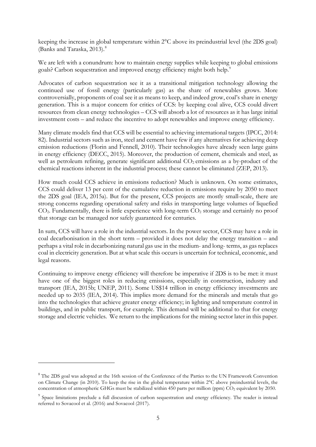keeping the increase in global temperature within 2°C above its preindustrial level (the 2DS goal) (Banks and Taraska, 2013).<sup>[8](#page-6-0)</sup>

We are left with a conundrum: how to maintain energy supplies while keeping to global emissions goals? Carbon sequestration and improved energy efficiency might both help.<sup>[9](#page-6-1)</sup>

Advocates of carbon sequestration see it as a transitional mitigation technology allowing the continued use of fossil energy (particularly gas) as the share of renewables grows. More controversially, proponents of coal see it as means to keep, and indeed grow, coal's share in energy generation. This is a major concern for critics of CCS: by keeping coal alive, CCS could divert resources from clean energy technologies – CCS will absorb a lot of resources as it has large initial investment costs – and reduce the incentive to adopt renewables and improve energy efficiency.

Many climate models find that CCS will be essential to achieving international targets (IPCC, 2014: 82). Industrial sectors such as iron, steel and cement have few if any alternatives for achieving deep emission reductions (Florin and Fennell, 2010). Their technologies have already seen large gains in energy efficiency (DECC, 2015). Moreover, the production of cement, chemicals and steel, as well as petroleum refining, generate significant additional  $CO<sub>2</sub>$  emissions as a by-product of the chemical reactions inherent in the industrial process; these cannot be eliminated (ZEP, 2013).

How much could CCS achieve in emissions reduction? Much is unknown. On some estimates, CCS could deliver 13 per cent of the cumulative reduction in emissions require by 2050 to meet the 2DS goal (IEA, 2015a). But for the present, CCS projects are mostly small-scale, there are strong concerns regarding operational safety and risks in transporting large volumes of liquefied  $CO<sub>2</sub>$ . Fundamentally, there is little experience with long-term  $CO<sub>2</sub>$  storage and certainly no proof that storage can be managed nor safely guaranteed for centuries.

In sum, CCS will have a role in the industrial sectors. In the power sector, CCS may have a role in coal decarbonisation in the short term – provided it does not delay the energy transition – and perhaps a vital role in decarbonizing natural gas use in the medium- and long- terms, as gas replaces coal in electricity generation. But at what scale this occurs is uncertain for technical, economic, and legal reasons.

Continuing to improve energy efficiency will therefore be imperative if 2DS is to be met: it must have one of the biggest roles in reducing emissions, especially in construction, industry and transport (IEA, 2015b; UNEP, 2011). Some US\$14 trillion in energy efficiency investments are needed up to 2035 (IEA, 2014). This implies more demand for the minerals and metals that go into the technologies that achieve greater energy efficiency; in lighting and temperature control in buildings, and in public transport, for example. This demand will be additional to that for energy storage and electric vehicles. We return to the implications for the mining sector later in this paper.

<u>.</u>

<span id="page-6-0"></span><sup>&</sup>lt;sup>8</sup> The 2DS goal was adopted at the 16th session of the Conference of the Parties to the UN Framework Convention on Climate Change (in 2010). To keep the rise in the global temperature within 2°C above preindustrial levels, the concentration of atmospheric GHGs must be stabilized within 450 parts per million (ppm) CO<sub>2</sub> equivalent by 2050.

<span id="page-6-1"></span><sup>&</sup>lt;sup>9</sup> Space limitations preclude a full discussion of carbon sequestration and energy efficiency. The reader is instead referred to Sovacool et al. (2016) and Sovacool (2017).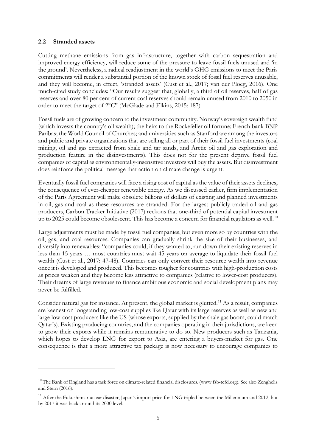#### **2.2 Stranded assets**

<u>.</u>

Cutting methane emissions from gas infrastructure, together with carbon sequestration and improved energy efficiency, will reduce some of the pressure to leave fossil fuels unused and 'in the ground'. Nevertheless, a radical readjustment in the world's GHG emissions to meet the Paris commitments will render a substantial portion of the known stock of fossil fuel reserves unusable, and they will become, in effect, 'stranded assets' (Cust et al., 2017; van der Ploeg, 2016). One much-cited study concludes: "Our results suggest that, globally, a third of oil reserves, half of gas reserves and over 80 per cent of current coal reserves should remain unused from 2010 to 2050 in order to meet the target of 2°C" (McGlade and Elkins, 2015: 187).

Fossil fuels are of growing concern to the investment community. Norway's sovereign wealth fund (which invests the country's oil wealth); the heirs to the Rockefeller oil fortune; French bank BNP Paribas; the World Council of Churches; and universities such as Stanford are among the investors and public and private organizations that are selling all or part of their fossil fuel investments (coal mining, oil and gas extracted from shale and tar sands, and Arctic oil and gas exploration and production feature in the disinvestments). This does not for the present deprive fossil fuel companies of capital as environmentally-insensitive investors will buy the assets. But disinvestment does reinforce the political message that action on climate change is urgent.

Eventually fossil fuel companies will face a rising cost of capital as the value of their assets declines, the consequence of ever-cheaper renewable energy. As we discussed earlier, firm implementation of the Paris Agreement will make obsolete billions of dollars of existing and planned investments in oil, gas and coal as these resources are stranded. For the largest publicly traded oil and gas producers, Carbon Tracker Initiative (2017) reckons that one-third of potential capital investment up to 2025 could become obsolescent. This has become a concern for financial regulators as well.<sup>[10](#page-7-0)</sup>

Large adjustments must be made by fossil fuel companies, but even more so by countries with the oil, gas, and coal resources. Companies can gradually shrink the size of their businesses, and diversify into renewables: "companies could, if they wanted to, run down their existing reserves in less than 15 years … most countries must wait 45 years on average to liquidate their fossil fuel wealth (Cust et al., 2017: 47-48). Countries can only convert their resource wealth into revenue once it is developed and produced. This becomes tougher for countries with high-production costs as prices weaken and they become less attractive to companies (relative to lower-cost producers). Their dreams of large revenues to finance ambitious economic and social development plans may never be fulfilled.

Consider natural gas for instance. At present, the global market is glutted.<sup>[11](#page-7-1)</sup> As a result, companies are keenest on longstanding low-cost supplies like Qatar with its large reserves as well as new and large low-cost producers like the US (whose exports, supplied by the shale gas boom, could match Qatar's). Existing producing countries, and the companies operating in their jurisdictions, are keen to grow their exports while it remains remunerative to do so. New producers such as Tanzania, which hopes to develop LNG for export to Asia, are entering a buyers-market for gas. One consequence is that a more attractive tax package is now necessary to encourage companies to

<span id="page-7-0"></span><sup>&</sup>lt;sup>10</sup> The Bank of England has a task force on climate-related financial disclosures. [\(www.fsb-tcfd.org\).](https://www.fsb-tcfd.org)/) See also Zenghelis and Stern (2016).

<span id="page-7-1"></span><sup>&</sup>lt;sup>11</sup> After the Fukushima nuclear disaster, Japan's import price for LNG tripled between the Millennium and 2012, but by 2017 it was back around its 2000 level.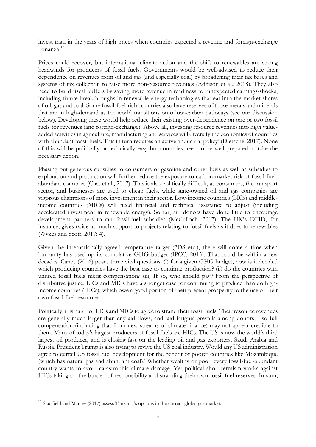invest than in the years of high prices when countries expected a revenue and foreign-exchange bonanza[.12](#page-8-0)

Prices could recover, but international climate action and the shift to renewables are strong headwinds for producers of fossil fuels. Governments would be well-advised to reduce their dependence on revenues from oil and gas (and especially coal) by broadening their tax bases and systems of tax collection to raise more non-resource revenues (Addison et al., 2018). They also need to build fiscal buffers by saving more revenue in readiness for unexpected earnings-shocks, including future breakthroughs in renewable energy technologies that eat into the market shares of oil, gas and coal. Some fossil-fuel-rich countries also have reserves of those metals and minerals that are in high-demand as the world transitions onto low-carbon pathways (see our discussion below). Developing these would help reduce their existing over-dependence on one or two fossil fuels for revenues (and foreign-exchange). Above all, investing resource revenues into high valueadded activities in agriculture, manufacturing and services will diversify the economies of countries with abundant fossil fuels. This in turn requires an active 'industrial policy' (Dietsche, 2017). None of this will be politically or technically easy but countries need to be well-prepared to take the necessary action.

Phasing out generous subsidies to consumers of gasoline and other fuels as well as subsidies to exploration and production will further reduce the exposure to carbon-market risk of fossil-fuelabundant countries (Cust et al., 2017). This is also politically difficult, as consumers, the transport sector, and businesses are used to cheap fuels, while state-owned oil and gas companies are vigorous champions of more investment in their sector. Low-income countries (LICs) and middleincome countries (MICs) will need financial and technical assistance to adjust (including accelerated investment in renewable energy). So far, aid donors have done little to encourage development partners to cut fossil-fuel subsidies (McCulloch, 2017). The UK's DFID, for instance, gives twice as much support to projects relating to fossil fuels as it does to renewables (Wykes and Scott, 2017: 4).

Given the internationally agreed temperature target (2DS etc.), there will come a time when humanity has used up its cumulative GHG budget (IPCC, 2015). That could be within a few decades. Caney (2016) poses three vital questions: (i) for a given GHG budget, how is it decided which producing countries have the best case to continue production? (ii) do the countries with unused fossil fuels merit compensation? (iii) If so, who should pay? From the perspective of distributive justice, LICs and MICs have a stronger case for continuing to produce than do highincome countries (HICs), which owe a good portion of their present prosperity to the use of their own fossil-fuel resources.

Politically, it is hard for LICs and MICs to agree to strand their fossil fuels. Their resource revenues are generally much larger than any aid flows, and 'aid fatigue' prevails among donors – so full compensation (including that from new streams of climate finance) may not appear credible to them. Many of today's largest producers of fossil-fuels are HICs. The US is now the world's third largest oil producer, and is closing fast on the leading oil and gas exporters, Saudi Arabia and Russia. President Trump is also trying to revive the US coal industry. Would any US administration agree to curtail US fossil fuel development for the benefit of poorer countries like Mozambique (which has natural gas and abundant coal)? Whether wealthy or poor, every fossil-fuel-abundant country wants to avoid catastrophic climate damage. Yet political short-termism works against HICs taking on the burden of responsibility and stranding their own fossil-fuel reserves. In sum,

<span id="page-8-0"></span><sup>&</sup>lt;sup>12</sup> Scurfield and Manley (2017) assess Tanzania's options in the current global gas market.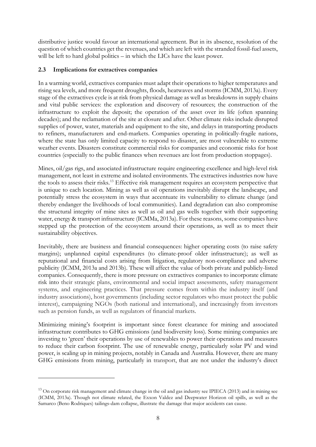distributive justice would favour an international agreement. But in its absence, resolution of the question of which countries get the revenues, and which are left with the stranded fossil-fuel assets, will be left to hard global politics – in which the LICs have the least power.

# **2.3 Implications for extractives companies**

-

In a warming world, extractives companies must adapt their operations to higher temperatures and rising sea levels, and more frequent droughts, floods, heatwaves and storms (ICMM, 2013a). Every stage of the extractives cycle is at risk from physical damage as well as breakdowns in supply chains and vital public services: the exploration and discovery of resources; the construction of the infrastructure to exploit the deposit; the operation of the asset over its life (often spanning decades); and the reclamation of the site at closure and after. Other climate risks include disrupted supplies of power, water, materials and equipment to the site, and delays in transporting products to refiners, manufacturers and end-markets. Companies operating in politically-fragile nations, where the state has only limited capacity to respond to disaster, are most vulnerable to extreme weather events. Disasters constitute commercial risks for companies and economic risks for host countries (especially to the public finances when revenues are lost from production stoppages).

Mines, oil/gas rigs, and associated infrastructure require engineering excellence and high-level risk management, not least in extreme and isolated environments. The extractives industries now have the tools to assess their risks.<sup>[13](#page-9-0)</sup> Effective risk management requires an ecosystem perspective that is unique to each location. Mining as well as oil operations inevitably disrupt the landscape, and potentially stress the ecosystem in ways that accentuate its vulnerability to climate change (and thereby endanger the livelihoods of local communities). Land degradation can also compromise the structural integrity of mine sites as well as oil and gas wells together with their supporting water, energy & transport infrastructure (ICMMa, 2013a). For these reasons, some companies have stepped up the protection of the ecosystem around their operations, as well as to meet their sustainability objectives.

Inevitably, there are business and financial consequences: higher operating costs (to raise safety margins); unplanned capital expenditures (to climate-proof older infrastructure); as well as reputational and financial costs arising from litigation, regulatory non-compliance and adverse publicity (ICMM, 2013a and 2013b). These will affect the value of both private and publicly-listed companies. Consequently, there is more pressure on extractives companies to incorporate climate risk into their strategic plans, environmental and social impact assessments, safety management systems, and engineering practices. That pressure comes from within the industry itself (and industry associations), host governments (including sector regulators who must protect the public interest), campaigning NGOs (both national and international), and increasingly from investors such as pension funds, as well as regulators of financial markets.

Minimizing mining's footprint is important since forest clearance for mining and associated infrastructure contributes to GHG emissions (and biodiversity loss). Some mining companies are investing to 'green' their operations by use of renewables to power their operations and measures to reduce their carbon footprint. The use of renewable energy, particularly solar PV and wind power, is scaling up in mining projects, notably in Canada and Australia. However, there are many GHG emissions from mining, particularly in transport, that are not under the industry's direct

<span id="page-9-0"></span><sup>&</sup>lt;sup>13</sup> On corporate risk management and climate change in the oil and gas industry see IPIECA (2013) and in mining see (ICMM, 2013a). Though not climate related, the Exxon Valdez and Deepwater Horizon oil spills, as well as the Samarco (Beno Rodriques) tailings-dam collapse, illustrate the damage that major accidents can cause.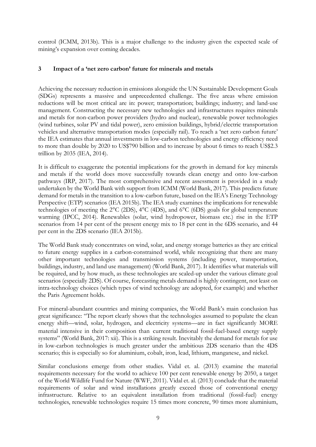control (ICMM, 2013b). This is a major challenge to the industry given the expected scale of mining's expansion over coming decades.

# **3 Impact of a 'net zero carbon' future for minerals and metals**

Achieving the necessary reduction in emissions alongside the UN Sustainable Development Goals (SDGs) represents a massive and unprecedented challenge. The five areas where emission reductions will be most critical are in: power; transportation; buildings; industry; and land-use management. Constructing the necessary new technologies and infrastructures requires minerals and metals for non-carbon power providers (hydro and nuclear), renewable power technologies (wind turbines, solar PV and tidal power), zero emission buildings, hybrid/electric transportation vehicles and alternative transportation modes (especially rail). To reach a 'net zero carbon future' the IEA estimates that annual investments in low-carbon technologies and energy efficiency need to more than double by 2020 to US\$790 billion and to increase by about 6 times to reach US\$2.3 trillion by 2035 (IEA, 2014).

It is difficult to exaggerate the potential implications for the growth in demand for key minerals and metals if the world does move successfully towards clean energy and onto low-carbon pathways (IRP, 2017). The most comprehensive and recent assessment is provided in a study undertaken by the World Bank with support from ICMM (World Bank, 2017). This predicts future demand for metals in the transition to a low-carbon future, based on the IEA's Energy Technology Perspective (ETP) scenarios (IEA 2015b). The IEA study examines the implications for renewable technologies of meeting the 2°C (2DS), 4°C (4DS), and 6°C (6DS) goals for global temperature warming (IPCC, 2014). Renewables (solar, wind hydropower, biomass etc.) rise in the ETP scenarios from 14 per cent of the present energy mix to 18 per cent in the 6DS scenario, and 44 per cent in the 2DS scenario (IEA 2015b).

The World Bank study concentrates on wind, solar, and energy storage batteries as they are critical to future energy supplies in a carbon-constrained world, while recognizing that there are many other important technologies and transmission systems (including power, transportation, buildings, industry, and land use management) (World Bank, 2017). It identifies what materials will be required, and by how much, as these technologies are scaled-up under the various climate goal scenarios (especially 2DS). Of course, forecasting metals demand is highly contingent, not least on intra-technology choices (which types of wind technology are adopted, for example) and whether the Paris Agreement holds.

For mineral-abundant countries and mining companies, the World Bank's main conclusion has great significance: "The report clearly shows that the technologies assumed to populate the clean energy shift—wind, solar, hydrogen, and electricity systems—are in fact significantly MORE material intensive in their composition than current traditional fossil-fuel-based energy supply systems" (World Bank, 2017: xii). This is a striking result. Inevitably the demand for metals for use in low-carbon technologies is much greater under the ambitious 2DS scenario than the 4DS scenario; this is especially so for aluminium, cobalt, iron, lead, lithium, manganese, and nickel.

Similar conclusions emerge from other studies. Vidal et. al. (2013) examine the material requirements necessary for the world to achieve 100 per cent renewable energy by 2050, a target of the World Wildlife Fund for Nature (WWF, 2011). Vidal et. al. (2013) conclude that the material requirements of solar and wind installations greatly exceed those of conventional energy infrastructure. Relative to an equivalent installation from traditional (fossil-fuel) energy technologies, renewable technologies require 15 times more concrete, 90 times more aluminium,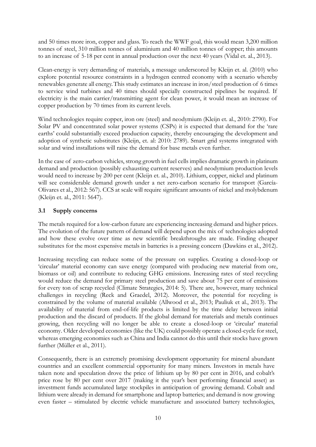and 50 times more iron, copper and glass. To reach the WWF goal, this would mean 3,200 million tonnes of steel, 310 million tonnes of aluminium and 40 million tonnes of copper; this amounts to an increase of 5-18 per cent in annual production over the next 40 years (Vidal et. al., 2013).

Clean-energy is very demanding of materials, a message underscored by Kleijn et. al. (2010) who explore potential resource constraints in a hydrogen centred economy with a scenario whereby renewables generate all energy.This study estimates an increase in iron/steel production of 6 times to service wind turbines and 40 times should specially constructed pipelines be required. If electricity is the main carrier/transmitting agent for clean power, it would mean an increase of copper production by 70 times from its current levels.

Wind technologies require copper, iron ore (steel) and neodymium (Kleijn et. al., 2010: 2790). For Solar PV and concentrated solar power systems (CSPs) it is expected that demand for the 'rare earths' could substantially exceed production capacity, thereby encouraging the development and adoption of synthetic substitutes (Kleijn, et. al: 2010: 2789). Smart grid systems integrated with solar and wind installations will raise the demand for base metals even further.

In the case of zero-carbon vehicles, strong growth in fuel cells implies dramatic growth in platinum demand and production (possibly exhausting current reserves) and neodymium production levels would need to increase by 200 per cent (Kleijn et. al., 2010). Lithium, copper, nickel and platinum will see considerable demand growth under a net zero-carbon scenario for transport (García-Olivares et al., 2012: 567). CCS at scale will require significant amounts of nickel and molybdenum (Kleijn et. al., 2011: 5647).

# **3.1 Supply concerns**

The metals required for a low-carbon future are experiencing increasing demand and higher prices. The evolution of the future pattern of demand will depend upon the mix of technologies adopted and how these evolve over time as new scientific breakthroughs are made. Finding cheaper substitutes for the most expensive metals in batteries is a pressing concern (Dawkins et al., 2012).

Increasing recycling can reduce some of the pressure on supplies. Creating a closed-loop or 'circular' material economy can save energy (compared with producing new material from ore, biomass or oil) and contribute to reducing GHG emissions. Increasing rates of steel recycling would reduce the demand for primary steel production and save about 75 per cent of emissions for every ton of scrap recycled (Climate Strategies, 2014: 5). There are, however, many technical challenges in recycling (Reck and Graedel, 2012). Moreover, the potential for recycling is constrained by the volume of material available (Allwood et al., 2013; Pauliuk et al., 2013). The availability of material from end-of-life products is limited by the time delay between initial production and the discard of products. If the global demand for materials and metals continues growing, then recycling will no longer be able to create a closed-loop or 'circular' material economy. Older developed economies (like the UK) could possibly operate a closed-cycle for steel, whereas emerging economies such as China and India cannot do this until their stocks have grown further (Müller et al., 2011).

Consequently, there is an extremely promising development opportunity for mineral abundant countries and an excellent commercial opportunity for many miners. Investors in metals have taken note and speculation drove the price of lithium up by 80 per cent in 2016, and cobalt's price rose by 80 per cent over 2017 (making it the year's best performing financial asset) as investment funds accumulated large stockpiles in anticipation of growing demand. Cobalt and lithium were already in demand for smartphone and laptop batteries; and demand is now growing even faster – stimulated by electric vehicle manufacture and associated battery technologies,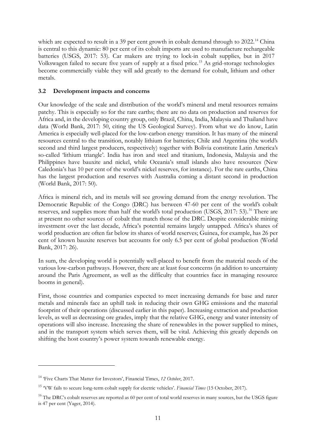which are expected to result in a 39 per cent growth in cobalt demand through to 2022.<sup>[14](#page-12-0)</sup> China is central to this dynamic: 80 per cent of its cobalt imports are used to manufacture rechargeable batteries (USGS, 2017: 53). Car makers are trying to lock-in cobalt supplies, but in 2017 Volkswagen failed to secure five years of supply at a fixed price.[15](#page-12-1) As grid-storage technologies become commercially viable they will add greatly to the demand for cobalt, lithium and other metals.

# **3.2 Development impacts and concerns**

Our knowledge of the scale and distribution of the world's mineral and metal resources remains patchy. This is especially so for the rare earths; there are no data on production and reserves for Africa and, in the developing country group, only Brazil, China, India, Malaysia and Thailand have data (World Bank, 2017: 50, citing the US Geological Survey). From what we do know, Latin America is especially well-placed for the low-carbon energy transition. It has many of the mineral resources central to the transition, notably lithium for batteries; Chile and Argentina (the world's second and third largest producers, respectively) together with Bolivia constitute Latin America's so-called 'lithium triangle'. India has iron and steel and titanium, Indonesia, Malaysia and the Philippines have bauxite and nickel, while Oceania's small islands also have resources (New Caledonia's has 10 per cent of the world's nickel reserves, for instance). For the rare earths, China has the largest production and reserves with Australia coming a distant second in production (World Bank, 2017: 50).

Africa is mineral rich, and its metals will see growing demand from the energy revolution. The Democratic Republic of the Congo (DRC) has between 47-60 per cent of the world's cobalt reserves, and supplies more than half the world's total production (USGS, 2017: 53).<sup>[16](#page-12-2)</sup> There are at present no other sources of cobalt that match those of the DRC. Despite considerable mining investment over the last decade, Africa's potential remains largely untapped. Africa's shares of world production are often far below its shares of world reserves; Guinea, for example, has 26 per cent of known bauxite reserves but accounts for only 6.5 per cent of global production (World Bank, 2017: 26).

In sum, the developing world is potentially well-placed to benefit from the material needs of the various low-carbon pathways. However, there are at least four concerns (in addition to uncertainty around the Paris Agreement, as well as the difficulty that countries face in managing resource booms in general).

First, those countries and companies expected to meet increasing demands for base and rarer metals and minerals face an uphill task in reducing their own GHG emissions and the material footprint of their operations (discussed earlier in this paper). Increasing extraction and production levels, as well as decreasing ore grades, imply that the relative GHG, energy and water intensity of operations will also increase. Increasing the share of renewables in the power supplied to mines, and in the transport system which serves them, will be vital. Achieving this greatly depends on shifting the host country's power system towards renewable energy.

<span id="page-12-0"></span><sup>14</sup> 'Five Charts That Matter for Investors', Financial Times, *12 October*, 2017.

<span id="page-12-1"></span><sup>15</sup> 'VW fails to secure long-term cobalt supply for electric vehicles'. *Financial Times* (15 October, 2017).

<span id="page-12-2"></span> $16$  The DRC's cobalt reserves are reported as 60 per cent of total world reserves in many sources, but the USGS figure is 47 per cent (Yager, 2014).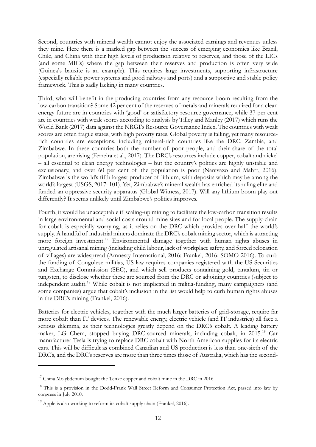Second, countries with mineral wealth cannot enjoy the associated earnings and revenues unless they mine. Here there is a marked gap between the success of emerging economies like Brazil, Chile, and China with their high levels of production relative to reserves, and those of the LICs (and some MICs) where the gap between their reserves and production is often very wide (Guinea's bauxite is an example). This requires large investments, supporting infrastructure (especially reliable power systems and good railways and ports) and a supportive and stable policy framework. This is sadly lacking in many countries.

Third, who will benefit in the producing countries from any resource boom resulting from the low-carbon transition? Some 42 per cent of the reserves of metals and minerals required for a clean energy future are in countries with 'good' or satisfactory resource governance, while 37 per cent are in countries with weak scores according to analysis by Tilley and Manley (2017) which runs the World Bank (2017) data against the NRGI's Resource Governance Index. The countries with weak scores are often fragile states, with high poverty rates. Global poverty is falling, yet many resourcerich countries are exceptions, including mineral-rich countries like the DRC, Zambia, and Zimbabwe. In these countries both the number of poor people, and their share of the total population, are rising (Ferreira et al., 2017). The DRC's resources include copper, cobalt and nickel – all essential to clean energy technologies – but the country's politics are highly unstable and exclusionary, and over 60 per cent of the population is poor (Nanivazo and Mahrt, 2016). Zimbabwe is the world's fifth largest producer of lithium, with deposits which may be among the world's largest (USGS, 2017: 101). Yet, Zimbabwe's mineral wealth has enriched its ruling elite and funded an oppressive security apparatus (Global Witness, 2017). Will any lithium boom play out differently? It seems unlikely until Zimbabwe's politics improves.

Fourth, it would be unacceptable if scaling-up mining to facilitate the low-carbon transition results in large environmental and social costs around mine sites and for local people. The supply-chain for cobalt is especially worrying, as it relies on the DRC which provides over half the world's supply. A handful of industrial miners dominate the DRC's cobalt mining sector, which is attracting more foreign investment.<sup>[17](#page-13-0)</sup> Environmental damage together with human rights abuses in unregulated artisanal mining (including child labour, lack of workplace safety, and forced relocation of villages) are widespread (Amnesty International, 2016; Frankel, 2016; SOMO 2016). To curb the funding of Congolese militias, US law requires companies registered with the US Securities and Exchange Commission (SEC), and which sell products containing gold, tantalum, tin or tungsten, to disclose whether these are sourced from the DRC or adjoining countries (subject to independent audit).[18](#page-13-1) While cobalt is not implicated in militia-funding, many campaigners (and some companies) argue that cobalt's inclusion in the list would help to curb human rights abuses in the DRC's mining (Frankel, 2016).

Batteries for electric vehicles, together with the much larger batteries of grid-storage, require far more cobalt than IT devices. The renewable energy, electric vehicle (and IT industries) all face a serious dilemma, as their technologies greatly depend on the DRC's cobalt. A leading battery maker, LG Chem, stopped buying DRC-sourced minerals, including cobalt, in 2015.[19](#page-13-2) Car manufacturer Tesla is trying to replace DRC cobalt with North American supplies for its electric cars. This will be difficult as combined Canadian and US production is less than one-sixth of the DRC's, and the DRC's reserves are more than three times those of Australia, which has the second-

<span id="page-13-0"></span> $17$  China Molybdenum bought the Tenke copper and cobalt mine in the DRC in 2016.

<span id="page-13-1"></span><sup>&</sup>lt;sup>18</sup> This is a provision in the Dodd-Frank Wall Street Reform and Consumer Protection Act, passed into law by congress in July 2010.

<span id="page-13-2"></span> $19$  Apple is also working to reform its cobalt supply chain (Frankel, 2016).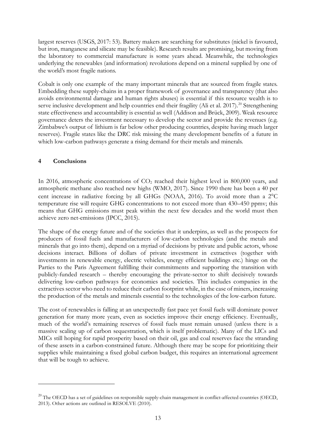largest reserves (USGS, 2017: 53). Battery makers are searching for substitutes (nickel is favoured, but iron, manganese and silicate may be feasible). Research results are promising, but moving from the laboratory to commercial manufacture is some years ahead. Meanwhile, the technologies underlying the renewables (and information) revolutions depend on a mineral supplied by one of the world's most fragile nations.

Cobalt is only one example of the many important minerals that are sourced from fragile states. Embedding these supply-chains in a proper framework of governance and transparency (that also avoids environmental damage and human rights abuses) is essential if this resource wealth is to serve inclusive development and help countries end their fragility (Ali et al. [20](#page-14-0)17).<sup>20</sup> Strengthening state effectiveness and accountability is essential as well (Addison and Brück, 2009). Weak resource governance deters the investment necessary to develop the sector and provide the revenues (e.g. Zimbabwe's output of lithium is far below other producing countries, despite having much larger reserves). Fragile states like the DRC risk missing the many development benefits of a future in which low-carbon pathways generate a rising demand for their metals and minerals.

# **4 Conclusions**

<u>.</u>

In 2016, atmospheric concentrations of  $CO<sub>2</sub>$  reached their highest level in 800,000 years, and atmospheric methane also reached new highs (WMO, 2017). Since 1990 there has been a 40 per cent increase in radiative forcing by all GHGs (NOAA, 2016). To avoid more than a 2°C temperature rise will require GHG concentrations to not exceed more than 430–450 ppmv; this means that GHG emissions must peak within the next few decades and the world must then achieve zero net-emissions (IPCC, 2015).

The shape of the energy future and of the societies that it underpins, as well as the prospects for producers of fossil fuels and manufacturers of low-carbon technologies (and the metals and minerals that go into them), depend on a myriad of decisions by private and public actors, whose decisions interact. Billions of dollars of private investment in extractives (together with investments in renewable energy, electric vehicles, energy efficient buildings etc.) hinge on the Parties to the Paris Agreement fulfilling their commitments and supporting the transition with publicly-funded research – thereby encouraging the private-sector to shift decisively towards delivering low-carbon pathways for economies and societies. This includes companies in the extractives sector who need to reduce their carbon footprint while, in the case of miners, increasing the production of the metals and minerals essential to the technologies of the low-carbon future.

The cost of renewables is falling at an unexpectedly fast pace yet fossil fuels will dominate power generation for many more years, even as societies improve their energy efficiency. Eventually, much of the world's remaining reserves of fossil fuels must remain unused (unless there is a massive scaling up of carbon sequestration, which is itself problematic). Many of the LICs and MICs still hoping for rapid prosperity based on their oil, gas and coal reserves face the stranding of these assets in a carbon-constrained future. Although there may be scope for prioritizing their supplies while maintaining a fixed global carbon budget, this requires an international agreement that will be tough to achieve.

<span id="page-14-0"></span><sup>&</sup>lt;sup>20</sup> The OECD has a set of guidelines on responsible supply-chain management in conflict-affected countries (OECD, 2013). Other actions are outlined in RESOLVE (2010).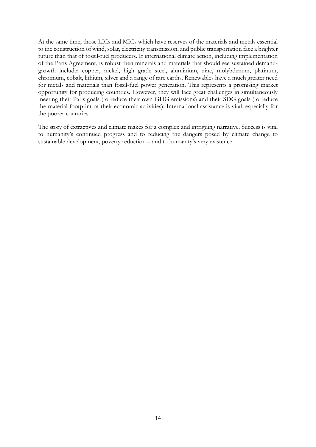At the same time, those LICs and MICs which have reserves of the materials and metals essential to the construction of wind, solar, electricity transmission, and public transportation face a brighter future than that of fossil-fuel producers. If international climate action, including implementation of the Paris Agreement, is robust then minerals and materials that should see sustained demandgrowth include: copper, nickel, high grade steel, aluminium, zinc, molybdenum, platinum, chromium, cobalt, lithium, silver and a range of rare earths. Renewables have a much greater need for metals and materials than fossil-fuel power generation. This represents a promising market opportunity for producing countries. However, they will face great challenges in simultaneously meeting their Paris goals (to reduce their own GHG emissions) and their SDG goals (to reduce the material footprint of their economic activities). International assistance is vital, especially for the poorer countries.

The story of extractives and climate makes for a complex and intriguing narrative. Success is vital to humanity's continued progress and to reducing the dangers posed by climate change to sustainable development, poverty reduction – and to humanity's very existence.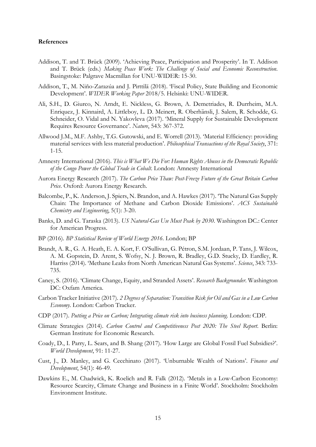#### **References**

- Addison, T. and T. Brück (2009). 'Achieving Peace, Participation and Prosperity'. In T. Addison and T. Brück (eds.) *Making Peace Work: The Challenge of Social and Economic Reconstruction*. Basingstoke: Palgrave Macmillan for UNU-WIDER: 15-30.
- Addison, T., M. Niño-Zarazúa and J. Pirttilä (2018). 'Fiscal Policy, State Building and Economic Development'. *WIDER Working Paper* 2018/5. Helsinki: UNU-WIDER.
- Ali, S.H., D. Giurco, N. Arndt, E. Nickless, G. Brown, A. Demetriades, R. Durrheim, M.A. Enriquez, J. Kinnaird, A. Littleboy, L. D. Meinert, R. Oberhänsli, J. Salem, R. Schodde, G. Schneider, O. Vidal and N. Yakovleva (2017). 'Mineral Supply for Sustainable Development Requires Resource Governance'. *Nature*, 543: 367-372.
- Allwood J.M., M.F. Ashby, T.G. Gutowski, and E. Worrell (2013). 'Material Efficiency: providing material services with less material production'. *Philosophical Transactions of the Royal Society*, 371: 1-15.
- Amnesty International (2016). *This is What We Die For: Human Rights Abuses in the Democratic Republic of the Congo Power the Global Trade in Cobalt*. London: Amnesty International
- Aurora Energy Research (2017). *The Carbon Price Thaw: Post-Freeze Future of the Great Britain Carbon Price*. Oxford: Aurora Energy Research.
- Balcombe, P., K. Anderson, J. Spiers, N. Brandon, and A. Hawkes (2017). 'The Natural Gas Supply Chain: The Importance of Methane and Carbon Dioxide Emissions'. *ACS Sustainable Chemistry and Engineering*, 5(1): 3-20.
- Banks, D. and G. Taraska (2013). *US Natural-Gas Use Must Peak by 2030*. Washington DC.: Center for American Progress.
- BP (2016). *BP Statistical Review of World Energy 2016.* London; BP
- Brandt, A. R., G. A. Heath, E. A. Kort, F. O'Sullivan, G. Pétron, S.M. Jordaan, P. Tans, J. Wilcox, A. M. Gopstein, D. Arent, S. Wofsy, N. J. Brown, R. Bradley, G.D. Stucky, D. Eardley, R. Harriss (2014). 'Methane Leaks from North American Natural Gas Systems'. *Science*, 343: 733- 735.
- Caney, S. (2016). 'Climate Change, Equity, and Stranded Assets'. *Research Backgrounder*. Washington DC: Oxfam America.
- Carbon Tracker Initiative (2017). *2 Degrees of Separation: Transition Risk for Oil and Gas in a Low Carbon Economy*. London: Carbon Tracker.
- CDP (2017). *Putting a Price on Carbon; Integrating climate risk into business planning*. London: CDP.
- Climate Strategies (2014). *Carbon Control and Competitiveness Post 2020: The Steel Report*. Berlin: German Institute for Economic Research.
- Coady, D., I. Parry, L. Sears, and B. Shang (2017). 'How Large are Global Fossil Fuel Subsidies?'. *World Development*, 91: 11-27.
- Cust, J., D. Manley, and G. Cecchinato (2017). 'Unburnable Wealth of Nations'. *Finance and Development*, 54(1): 46-49.
- Dawkins E., M. Chadwick, K. Roelich and R. Falk (2012). 'Metals in a Low-Carbon Economy: Resource Scarcity, Climate Change and Business in a Finite World'. Stockholm: Stockholm Environment Institute.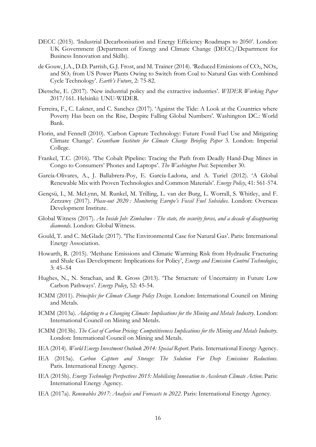- DECC (2015). 'Industrial Decarbonisation and Energy Efficiency Roadmaps to 2050'. London: UK Government (Department of Energy and Climate Change (DECC)/Department for Business Innovation and Skills).
- de Gouw, J.A., D.D. Parrish, G.J. Frost, and M. Trainer (2014). 'Reduced Emissions of CO<sub>2</sub>, NOx, and SO2 from US Power Plants Owing to Switch from Coal to Natural Gas with Combined Cycle Technology'. *Earth's Future*, 2: 75-82.
- Dietsche, E. (2017). 'New industrial policy and the extractive industries'. *WIDER Working Paper* 2017/161. Helsinki: UNU-WIDER.
- Ferreira, F., C. Lakner, and C. Sanchez (2017). 'Against the Tide: A Look at the Countries where Poverty Has been on the Rise, Despite Falling Global Numbers'. Washington DC.: World Bank.
- Florin, and Fennell (2010). 'Carbon Capture Technology: Future Fossil Fuel Use and Mitigating Climate Change'. *Grantham Institute for Climate Change Briefing Paper* 3. London: Imperial College.
- Frankel, T.C. (2016). 'The Cobalt Pipeline: Tracing the Path from Deadly Hand-Dug Mines in Congo to Consumers' Phones and Laptops'. *The Washington Post*. September 30.
- García-Olivares, A., J. Ballabrera-Poy, E. García-Ladona, and A. Turiel (2012). 'A Global Renewable Mix with Proven Technologies and Common Materials'. *Energy Policy*, 41: 561-574.
- Gençsü, I., M. McLynn, M. Runkel, M. Trilling, L. van der Burg, L. Worrall, S. Whitley, and F. Zerzawy (2017). *Phase-out 2020 : Monitoring Europe's Fossil Fuel Subsidies.* London: Overseas Development Institute.
- Global Witness (2017). *An Inside Job: Zimbabwe - The state, the security forces, and a decade of disappearing diamonds*. London: Global Witness.
- Gould, T. and C. McGlade (2017). 'The Environmental Case for Natural Gas'. Paris: International Energy Association.
- Howarth, R. (2015). 'Methane Emissions and Climatic Warming Risk from Hydraulic Fracturing and Shale Gas Development: Implications for Policy', *Energy and Emission Control Technologies*, 3: 45–54
- Hughes, N., N. Strachan, and R. Gross (2013). 'The Structure of Uncertainty in Future Low Carbon Pathways'. *Energy Policy*, 52: 45-54.
- ICMM (2011). *Principles for Climate Change Policy Design*. London: International Council on Mining and Metals.
- ICMM (2013a). *Adapting to a Changing Climate: Implications for the Mining and Metals Industry*. London: International Council on Mining and Metals.
- ICMM (2013b). *The Cost of Carbon Pricing: Competitiveness Implications for the Mining and Metals Industry*. London: International Council on Mining and Metals.
- IEA (2014). *World Energy Investment Outlook 2014: Special Report*. Paris. International Energy Agency.
- IEA (2015a). *Carbon Capture and Storage: The Solution For Deep Emissions Reductions*. Paris. International Energy Agency.
- IEA (2015b). *Energy Technology Perspectives 2015: Mobilising Innovation to Accelerate Climate Action*. Paris: International Energy Agency.
- IEA (2017a). *Renewables 2017: Analysis and Forecasts to 2022*. Paris: International Energy Agency.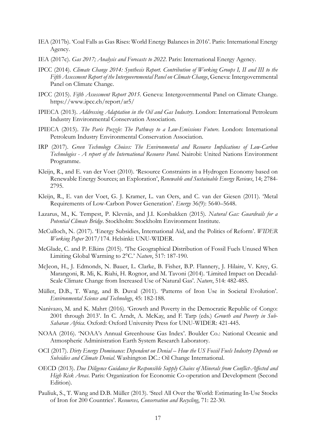- IEA (2017b). 'Coal Falls as Gas Rises: World Energy Balances in 2016'. Paris: International Energy Agency.
- IEA (2017c). *Gas 2017; Analysis and Forecasts to 2022*. Paris: International Energy Agency.
- IPCC (2014). *Climate Change 2014: Synthesis Report. Contribution of Working Groups I, II and III to the Fifth Assessment Report of the Intergovernmental Panel on Climate Change*, Geneva: Intergovernmental Panel on Climate Change.
- IPCC (2015). *Fifth Assessment Report 2015.* Geneva: Intergovernmental Panel on Climate Change. https://www.ipcc.ch/report/ar5/
- IPIECA (2013). *Addressing Adaptation in the Oil and Gas Industry*. London: International Petroleum Industry Environmental Conservation Association.
- IPIECA (2015). *The Paris Puzzle: The Pathway to a Low-Emissions Future*. London: International Petroleum Industry Environmental Conservation Association.
- IRP (2017). *Green Technology Choices: The Environmental and Resource Implications of Low-Carbon Technologies - A report of the International Resource Panel*. Nairobi: United Nations Environment Programme.
- Kleijn, R., and E. van der Voet (2010). 'Resource Constraints in a Hydrogen Economy based on Renewable Energy Sources; an Exploration', *Renewable and Sustainable Energy Reviews*, 14; 2784- 2795.
- Kleijn, R., E. van der Voet, G. J. Kramer, L. van Oers, and C. van der Giesen (2011). 'Metal Requirements of Low-Carbon Power Generation'. *Energy* 36(9): 5640–5648.
- Lazarus, M., K. Tempest, P. Klevnäs, and J.I. Korsbakken (2015). *Natural Gas: Guardrails for a Potential Climate Bridge*. Stockholm: Stockholm Environment Institute.
- McCulloch, N. (2017). 'Energy Subsidies, International Aid, and the Politics of Reform'. *WIDER Working Paper* 2017/174. Helsinki: UNU-WIDER.
- McGlade, C. and P. Elkins (2015). 'The Geographical Distribution of Fossil Fuels Unused When Limiting Global Warming to 2°C.' *Nature*, 517: 187-190.
- McJeon, H., J. Edmonds, N. Bauer, L. Clarke, B. Fisher, B.P. Flannery, J. Hilaire, V. Krey, G. Marangoni, R. Mi, K. Riahi, H. Rognor, and M. Tavoni (2014). 'Limited Impact on Decadal-Scale Climate Change from Increased Use of Natural Gas'. *Nature*, 514: 482-485.
- Müller, D.B., T. Wang, and B. Duval (2011). 'Patterns of Iron Use in Societal Evolution'. *Environmental Science and Technology*, 45: 182-188.
- Nanivazo, M. and K. Mahrt (2016). 'Growth and Poverty in the Democratic Republic of Congo: 2001 through 2013'. In C. Arndt, A. McKay, and F. Tarp (eds.) *Growth and Poverty in Sub-Saharan Africa*. Oxford: Oxford University Press for UNU-WIDER: 421-445.
- NOAA (2016). 'NOAA's Annual Greenhouse Gas Index'. Boulder Co.: National Oceanic and Atmospheric Administration Earth System Research Laboratory.
- OCI (2017). *Dirty Energy Dominance: Dependent on Denial – How the US Fossil Fuels Industry Depends on Subsidies and Climate Denial*. Washington DC.: Oil Change International.
- OECD (2013). *Due Diligence Guidance for Responsible Supply Chains of Minerals from Conflict-Affected and High Risk Areas*. Paris: Organization for Economic Co-operation and Development (Second Edition).
- Pauliuk, S., T. Wang and D.B. Müller (2013). 'Steel All Over the World: Estimating In-Use Stocks of Iron for 200 Countries'. *Resources, Conservation and Recycling*, 71: 22-30.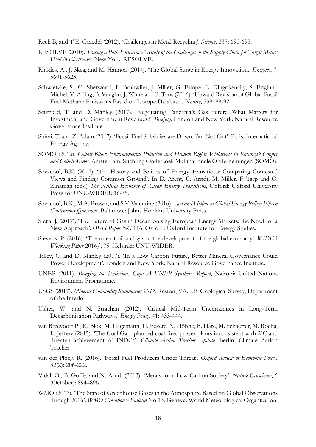Reck B, and T.E. Graedel (2012). 'Challenges in Metal Recycling'. *Science,* 337: 690-695.

- RESOLVE (2010). *Tracing a Path Forward: A Study of the Challenges of the Supply Chain for Target Metals Used in Electronics*. New York: RESOLVE.
- Rhodes, A., J. Skea, and M. Hannon (2014). 'The Global Surge in Energy Innovation.' *Energies*, 7: 5601-5623.
- Schwietzke, S., O. Sherwood, L. Bruhwiler, J. Miller, G. Etiope, E. Dlugokencky, S. Englund Michel, V. Arling, B. Vaughn, J. White and P. Tans (2016). 'Upward Revision of Global Fossil Fuel Methane Emissions Based on Isotope Database'. *Nature*, 538: 88-92.
- Scurfield, T. and D. Manley (2017). 'Negotiating Tanzania's Gas Future: What Matters for Investment and Government Revenues?'. *Briefing*. London and New York: Natural Resource Governance Institute.
- Shirai, T. and Z. Adam (2017). 'Fossil Fuel Subsidies are Down, But Not Out'. Paris: International Energy Agency.
- SOMO (2016). *Cobalt Blues: Environmental Pollution and Human Rights Violations in Katanga's Copper and Cobalt Mines*. Amsterdam: Stichting Onderzoek Multinationale Ondernemingen (SOMO).
- Sovacool, B.K. (2017). 'The History and Politics of Energy Transitions: Comparing Contested Views and Finding Common Ground'. In D. Arent, C. Arndt, M. Miller, F. Tarp and O. Zinaman (eds.) *The Political Economy of Clean Energy Transitions*, Oxford: Oxford University Press for UNU-WIDER: 16-35.
- Sovacool, B.K., M.A. Brown, and S.V. Valentine (2016). *Fact and Fiction in Global Energy Policy: Fifteen Contentious Questions*. Baltimore: Johns Hopkins University Press.
- Stern, J. (2017). 'The Future of Gas in Decarbonising European Energy Markets: the Need for a New Approach'. *OEIS Paper NG* 116. Oxford: Oxford Institute for Energy Studies.
- Stevens, P. (2016). 'The role of oil and gas in the development of the global economy'. *WIDER Working Paper* 2016/175. Helsinki: UNU-WIDER.
- Tilley, C. and D. Manley (2017). 'In a Low Carbon Future, Better Mineral Governance Could Power Development'. London and New York: Natural Resource Governance Institute.
- UNEP (2011). *Bridging the Emissions Gap: A UNEP Synthesis Report*, Nairobi: United Nations Environment Programme.
- USGS (2017). *Mineral Commodity Summaries 2017*. Reston, VA.: US Geological Survey, Department of the Interior.
- Usher, W. and N. Strachan (2012). 'Critical Mid-Term Uncertainties in Long-Term Decarbonisation Pathways.' *Energy Policy*, 41: 433-444.
- van Breevoort P., K. Blok, M. Hagemann, H. Fekete, N. Höhne, B. Hare, M. Schaeffer, M. Rocha, L. Jeffery (2015). 'The Coal Gap: planned coal-fired power plants inconsistent with 2˚C and threaten achievement of INDCs'. *Climate Action Tracker Update*. Berlin: Climate Action Tracker.
- van der Ploeg, R. (2016). 'Fossil Fuel Producers Under Threat'. *Oxford Review of Economic Policy*, 32(2): 206-222.
- Vidal, O., B. Goffé, and N. Arndt (2013). 'Metals for a Low-Carbon Society'. *Nature Geoscience*, 6 (October): 894–896.
- WMO (2017). 'The State of Greenhouse Gases in the Atmosphere Based on Global Observations through 2016'. *WMO Greenhouse Bulletin* No.13. Geneva: World Meteorological Organization.